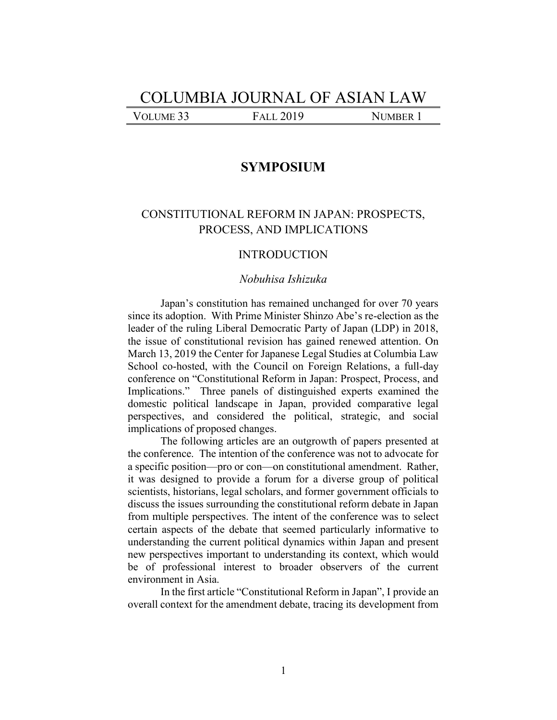# COLUMBIA JOURNAL OF ASIAN LAW

VOLUME 33 FALL 2019 NUMBER 1

## **SYMPOSIUM**

# CONSTITUTIONAL REFORM IN JAPAN: PROSPECTS, PROCESS, AND IMPLICATIONS

## INTRODUCTION

## *Nobuhisa Ishizuka*

Japan's constitution has remained unchanged for over 70 years since its adoption. With Prime Minister Shinzo Abe's re-election as the leader of the ruling Liberal Democratic Party of Japan (LDP) in 2018, the issue of constitutional revision has gained renewed attention. On March 13, 2019 the Center for Japanese Legal Studies at Columbia Law School co-hosted, with the Council on Foreign Relations, a full-day conference on "Constitutional Reform in Japan: Prospect, Process, and Implications." Three panels of distinguished experts examined the domestic political landscape in Japan, provided comparative legal perspectives, and considered the political, strategic, and social implications of proposed changes.

The following articles are an outgrowth of papers presented at the conference. The intention of the conference was not to advocate for a specific position—pro or con—on constitutional amendment. Rather, it was designed to provide a forum for a diverse group of political scientists, historians, legal scholars, and former government officials to discuss the issues surrounding the constitutional reform debate in Japan from multiple perspectives. The intent of the conference was to select certain aspects of the debate that seemed particularly informative to understanding the current political dynamics within Japan and present new perspectives important to understanding its context, which would be of professional interest to broader observers of the current environment in Asia.

In the first article "Constitutional Reform in Japan", I provide an overall context for the amendment debate, tracing its development from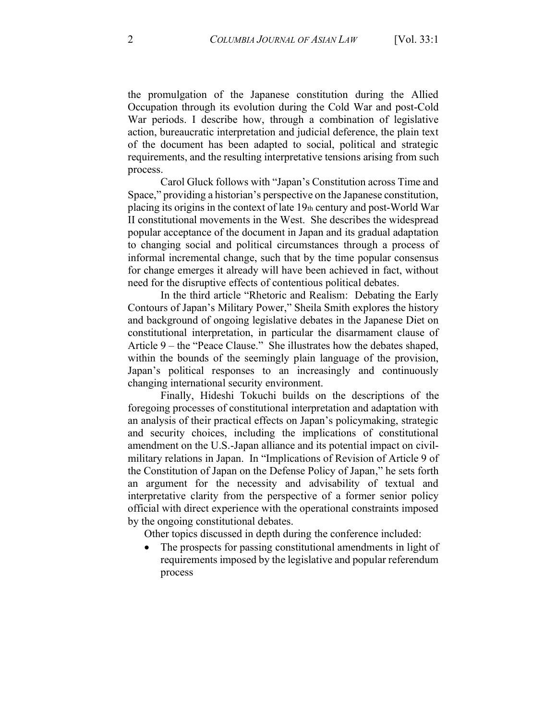the promulgation of the Japanese constitution during the Allied Occupation through its evolution during the Cold War and post-Cold War periods. I describe how, through a combination of legislative action, bureaucratic interpretation and judicial deference, the plain text of the document has been adapted to social, political and strategic requirements, and the resulting interpretative tensions arising from such process.

Carol Gluck follows with "Japan's Constitution across Time and Space," providing a historian's perspective on the Japanese constitution, placing its origins in the context of late 19th century and post-World War II constitutional movements in the West. She describes the widespread popular acceptance of the document in Japan and its gradual adaptation to changing social and political circumstances through a process of informal incremental change, such that by the time popular consensus for change emerges it already will have been achieved in fact, without need for the disruptive effects of contentious political debates.

In the third article "Rhetoric and Realism: Debating the Early Contours of Japan's Military Power," Sheila Smith explores the history and background of ongoing legislative debates in the Japanese Diet on constitutional interpretation, in particular the disarmament clause of Article 9 – the "Peace Clause." She illustrates how the debates shaped, within the bounds of the seemingly plain language of the provision, Japan's political responses to an increasingly and continuously changing international security environment.

Finally, Hideshi Tokuchi builds on the descriptions of the foregoing processes of constitutional interpretation and adaptation with an analysis of their practical effects on Japan's policymaking, strategic and security choices, including the implications of constitutional amendment on the U.S.-Japan alliance and its potential impact on civilmilitary relations in Japan. In "Implications of Revision of Article 9 of the Constitution of Japan on the Defense Policy of Japan," he sets forth an argument for the necessity and advisability of textual and interpretative clarity from the perspective of a former senior policy official with direct experience with the operational constraints imposed by the ongoing constitutional debates.

Other topics discussed in depth during the conference included:

 $\bullet$ The prospects for passing constitutional amendments in light of requirements imposed by the legislative and popular referendum process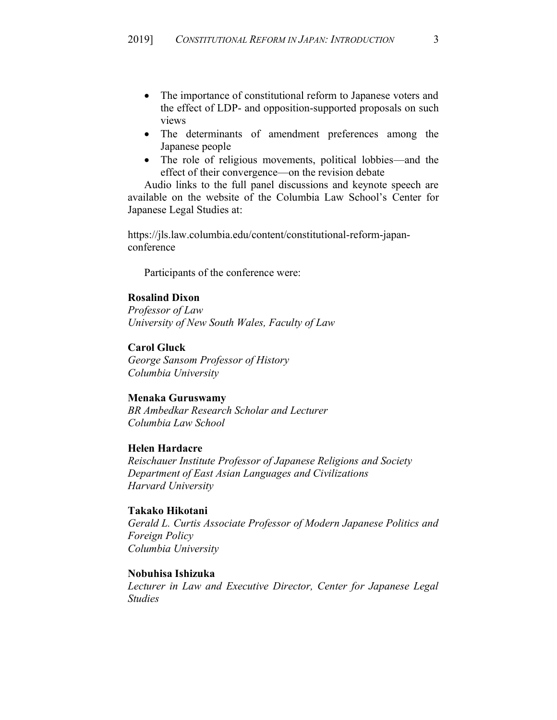- The importance of constitutional reform to Japanese voters and the effect of LDP- and opposition-supported proposals on such views
- The determinants of amendment preferences among the Japanese people
- The role of religious movements, political lobbies—and the effect of their convergence—on the revision debate

Audio links to the full panel discussions and keynote speech are available on the website of the Columbia Law School's Center for Japanese Legal Studies at:

https://jls.law.columbia.edu/content/constitutional-reform-japanconference

Participants of the conference were:

#### **Rosalind Dixon**

*Professor of Law University of New South Wales, Faculty of Law*

#### **Carol Gluck**

*George Sansom Professor of History Columbia University*

#### **Menaka Guruswamy**

*BR Ambedkar Research Scholar and Lecturer Columbia Law School*

#### **Helen Hardacre**

*Reischauer Institute Professor of Japanese Religions and Society Department of East Asian Languages and Civilizations Harvard University*

#### **Takako Hikotani**

*Gerald L. Curtis Associate Professor of Modern Japanese Politics and Foreign Policy Columbia University*

#### **Nobuhisa Ishizuka**

*Lecturer in Law and Executive Director, Center for Japanese Legal Studies*